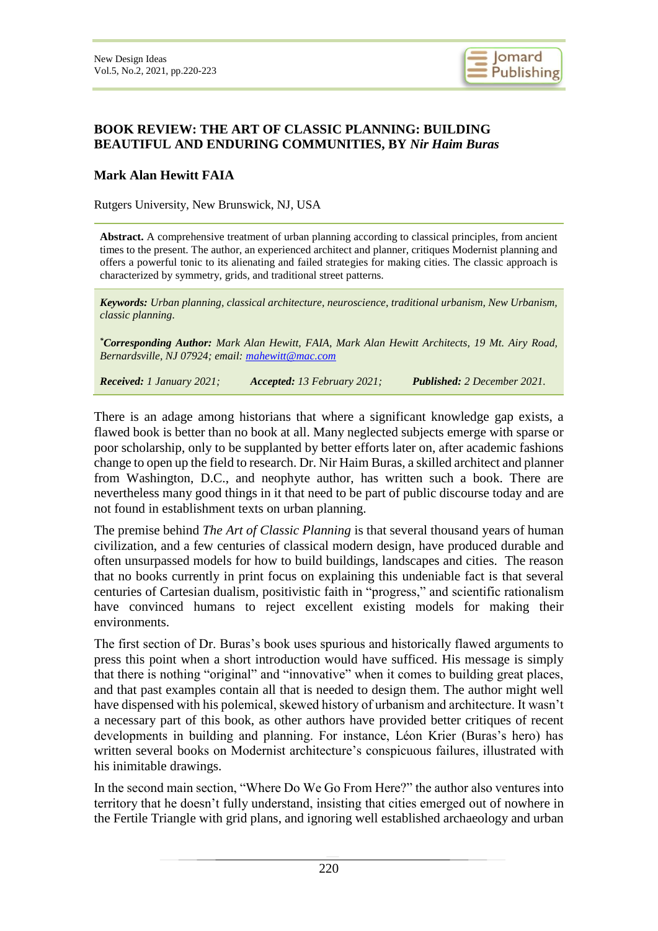

## **BOOK REVIEW: THE ART OF CLASSIC PLANNING: BUILDING BEAUTIFUL AND ENDURING COMMUNITIES, BY** *Nir Haim Buras*

## **Mark Alan Hewitt FAIA**

Rutgers University, New Brunswick, NJ, USA

**Abstract.** A comprehensive treatment of urban planning according to classical principles, from ancient times to the present. The author, an experienced architect and planner, critiques Modernist planning and offers a powerful tonic to its alienating and failed strategies for making cities. The classic approach is characterized by symmetry, grids, and traditional street patterns.

*Keywords: Urban planning, classical architecture, neuroscience, traditional urbanism, New Urbanism, classic planning.*

*\*Corresponding Author: Mark Alan Hewitt, FAIA, Mark Alan Hewitt Architects, 19 Mt. Airy Road, Bernardsville, NJ 07924; email: [mahewitt@mac.com](mailto:mahewitt@mac.com)*

*Received: 1 January 2021; Accepted: 13 February 2021; Published: 2 December 2021.*

There is an adage among historians that where a significant knowledge gap exists, a flawed book is better than no book at all. Many neglected subjects emerge with sparse or poor scholarship, only to be supplanted by better efforts later on, after academic fashions change to open up the field to research. Dr. Nir Haim Buras, a skilled architect and planner from Washington, D.C., and neophyte author, has written such a book. There are nevertheless many good things in it that need to be part of public discourse today and are not found in establishment texts on urban planning.

The premise behind *The Art of Classic Planning* is that several thousand years of human civilization, and a few centuries of classical modern design, have produced durable and often unsurpassed models for how to build buildings, landscapes and cities. The reason that no books currently in print focus on explaining this undeniable fact is that several centuries of Cartesian dualism, positivistic faith in "progress," and scientific rationalism have convinced humans to reject excellent existing models for making their environments.

The first section of Dr. Buras's book uses spurious and historically flawed arguments to press this point when a short introduction would have sufficed. His message is simply that there is nothing "original" and "innovative" when it comes to building great places, and that past examples contain all that is needed to design them. The author might well have dispensed with his polemical, skewed history of urbanism and architecture. It wasn't a necessary part of this book, as other authors have provided better critiques of recent developments in building and planning. For instance, Léon Krier (Buras's hero) has written several books on Modernist architecture's conspicuous failures, illustrated with his inimitable drawings.

In the second main section, "Where Do We Go From Here?" the author also ventures into territory that he doesn't fully understand, insisting that cities emerged out of nowhere in the Fertile Triangle with grid plans, and ignoring well established archaeology and urban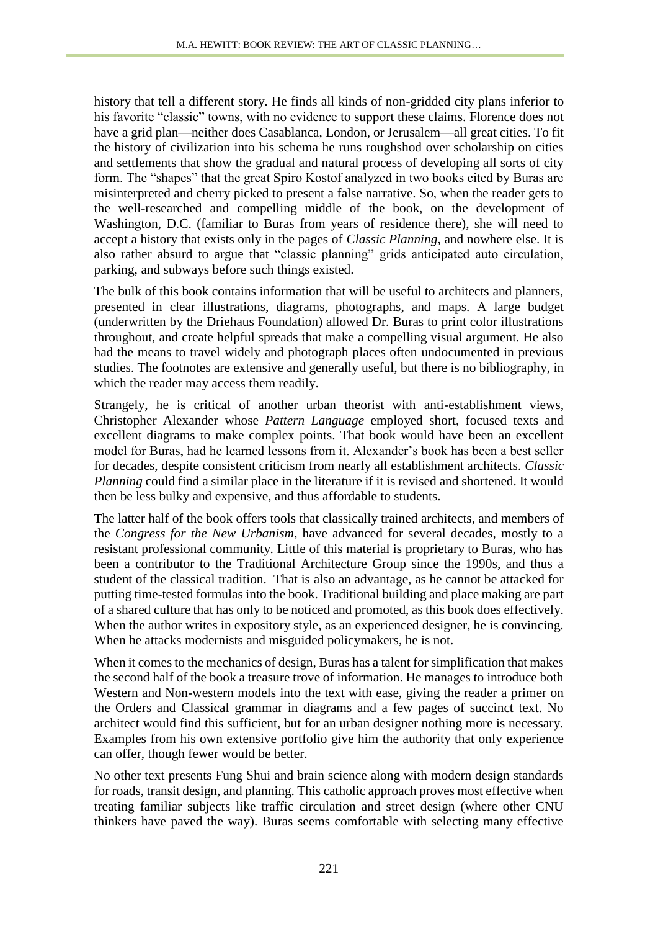history that tell a different story. He finds all kinds of non-gridded city plans inferior to his favorite "classic" towns, with no evidence to support these claims. Florence does not have a grid plan—neither does Casablanca, London, or Jerusalem—all great cities. To fit the history of civilization into his schema he runs roughshod over scholarship on cities and settlements that show the gradual and natural process of developing all sorts of city form. The "shapes" that the great Spiro Kostof analyzed in two books cited by Buras are misinterpreted and cherry picked to present a false narrative. So, when the reader gets to the well-researched and compelling middle of the book, on the development of Washington, D.C. (familiar to Buras from years of residence there), she will need to accept a history that exists only in the pages of *Classic Planning*, and nowhere else. It is also rather absurd to argue that "classic planning" grids anticipated auto circulation, parking, and subways before such things existed.

The bulk of this book contains information that will be useful to architects and planners, presented in clear illustrations, diagrams, photographs, and maps. A large budget (underwritten by the Driehaus Foundation) allowed Dr. Buras to print color illustrations throughout, and create helpful spreads that make a compelling visual argument. He also had the means to travel widely and photograph places often undocumented in previous studies. The footnotes are extensive and generally useful, but there is no bibliography, in which the reader may access them readily.

Strangely, he is critical of another urban theorist with anti-establishment views, Christopher Alexander whose *Pattern Language* employed short, focused texts and excellent diagrams to make complex points. That book would have been an excellent model for Buras, had he learned lessons from it. Alexander's book has been a best seller for decades, despite consistent criticism from nearly all establishment architects. *Classic Planning* could find a similar place in the literature if it is revised and shortened. It would then be less bulky and expensive, and thus affordable to students.

The latter half of the book offers tools that classically trained architects, and members of the *Congress for the New Urbanism*, have advanced for several decades, mostly to a resistant professional community. Little of this material is proprietary to Buras, who has been a contributor to the Traditional Architecture Group since the 1990s, and thus a student of the classical tradition. That is also an advantage, as he cannot be attacked for putting time-tested formulas into the book. Traditional building and place making are part of a shared culture that has only to be noticed and promoted, as this book does effectively. When the author writes in expository style, as an experienced designer, he is convincing. When he attacks modernists and misguided policymakers, he is not.

When it comes to the mechanics of design, Buras has a talent for simplification that makes the second half of the book a treasure trove of information. He manages to introduce both Western and Non-western models into the text with ease, giving the reader a primer on the Orders and Classical grammar in diagrams and a few pages of succinct text. No architect would find this sufficient, but for an urban designer nothing more is necessary. Examples from his own extensive portfolio give him the authority that only experience can offer, though fewer would be better.

No other text presents Fung Shui and brain science along with modern design standards for roads, transit design, and planning. This catholic approach proves most effective when treating familiar subjects like traffic circulation and street design (where other CNU thinkers have paved the way). Buras seems comfortable with selecting many effective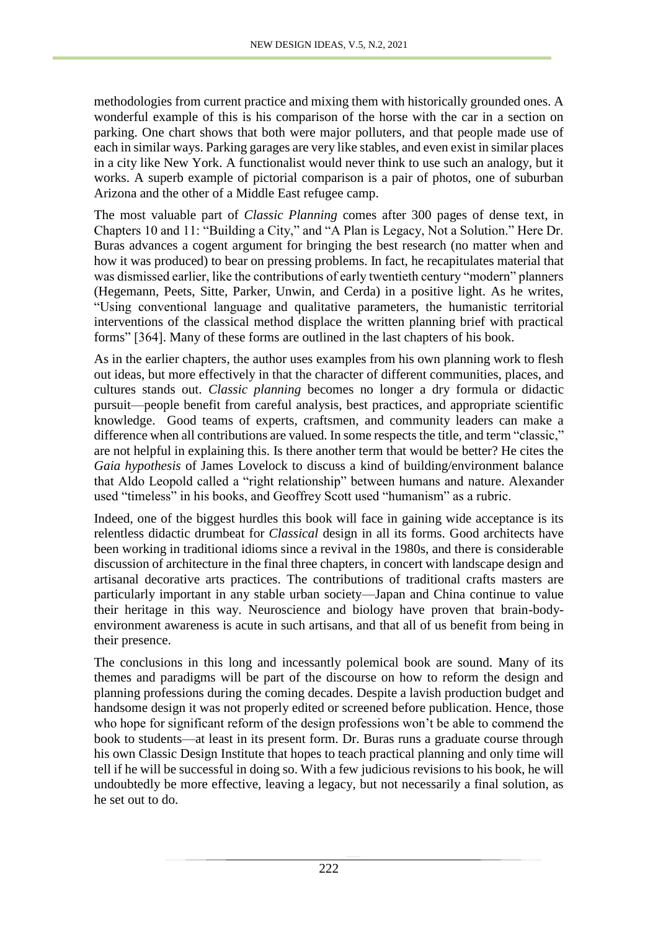methodologies from current practice and mixing them with historically grounded ones. A wonderful example of this is his comparison of the horse with the car in a section on parking. One chart shows that both were major polluters, and that people made use of each in similar ways. Parking garages are very like stables, and even exist in similar places in a city like New York. A functionalist would never think to use such an analogy, but it works. A superb example of pictorial comparison is a pair of photos, one of suburban Arizona and the other of a Middle East refugee camp.

The most valuable part of *Classic Planning* comes after 300 pages of dense text, in Chapters 10 and 11: "Building a City," and "A Plan is Legacy, Not a Solution." Here Dr. Buras advances a cogent argument for bringing the best research (no matter when and how it was produced) to bear on pressing problems. In fact, he recapitulates material that was dismissed earlier, like the contributions of early twentieth century "modern" planners (Hegemann, Peets, Sitte, Parker, Unwin, and Cerda) in a positive light. As he writes, "Using conventional language and qualitative parameters, the humanistic territorial interventions of the classical method displace the written planning brief with practical forms" [364]. Many of these forms are outlined in the last chapters of his book.

As in the earlier chapters, the author uses examples from his own planning work to flesh out ideas, but more effectively in that the character of different communities, places, and cultures stands out. *Classic planning* becomes no longer a dry formula or didactic pursuit—people benefit from careful analysis, best practices, and appropriate scientific knowledge. Good teams of experts, craftsmen, and community leaders can make a difference when all contributions are valued. In some respects the title, and term "classic," are not helpful in explaining this. Is there another term that would be better? He cites the *Gaia hypothesis* of James Lovelock to discuss a kind of building/environment balance that Aldo Leopold called a "right relationship" between humans and nature. Alexander used "timeless" in his books, and Geoffrey Scott used "humanism" as a rubric.

Indeed, one of the biggest hurdles this book will face in gaining wide acceptance is its relentless didactic drumbeat for *Classical* design in all its forms. Good architects have been working in traditional idioms since a revival in the 1980s, and there is considerable discussion of architecture in the final three chapters, in concert with landscape design and artisanal decorative arts practices. The contributions of traditional crafts masters are particularly important in any stable urban society—Japan and China continue to value their heritage in this way. Neuroscience and biology have proven that brain-bodyenvironment awareness is acute in such artisans, and that all of us benefit from being in their presence.

The conclusions in this long and incessantly polemical book are sound. Many of its themes and paradigms will be part of the discourse on how to reform the design and planning professions during the coming decades. Despite a lavish production budget and handsome design it was not properly edited or screened before publication. Hence, those who hope for significant reform of the design professions won't be able to commend the book to students—at least in its present form. Dr. Buras runs a graduate course through his own Classic Design Institute that hopes to teach practical planning and only time will tell if he will be successful in doing so. With a few judicious revisions to his book, he will undoubtedly be more effective, leaving a legacy, but not necessarily a final solution, as he set out to do.